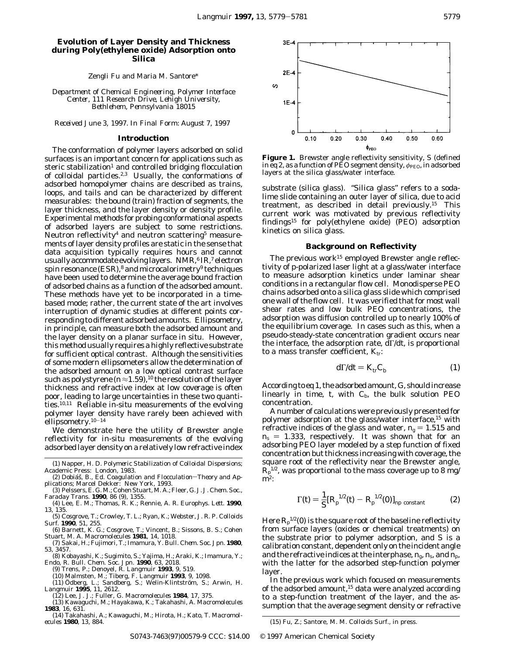# **Evolution of Layer Density and Thickness during Poly(ethylene oxide) Adsorption onto Silica**

Zengli Fu and Maria M. Santore\*

*Department of Chemical Engineering, Polymer Interface Center, 111 Research Drive, Lehigh University, Bethlehem, Pennsylvania 18015*

*Received June 3, 1997. In Final Form: August 7, 1997*

#### **Introduction**

The conformation of polymer layers adsorbed on solid surfaces is an important concern for applications such as steric stabilization<sup>1</sup> and controlled bridging flocculation of colloidal particles.<sup>2,3</sup> Usually, the conformations of adsorbed homopolymer chains are described as trains, loops, and tails and can be characterized by different measurables: the bound (train) fraction of segments, the layer thickness, and the layer density or density profile. Experimental methods for probing conformational aspects of adsorbed layers are subject to some restrictions. Neutron reflectivity<sup>4</sup> and neutron scattering<sup>5</sup> measurements of layer density profiles are static in the sense that data acquisition typically requires hours and cannot usually accommodate evolving layers. NMR,<sup>6</sup> IR,<sup>7</sup> electron spin resonance (ESR),<sup>8</sup> and microcalorimetry<sup>9</sup> techniques have been used to determine the average bound fraction of adsorbed chains as a function of the adsorbed amount. These methods have yet to be incorporated in a timebased mode; rather, the current state of the art involves interruption of dynamic studies at different points corresponding to different adsorbed amounts. Ellipsometry, in principle, can measure both the adsorbed amount and the layer density on a planar surface *in situ*. However, this method usually requires a highly reflective substrate for sufficient optical contrast. Although the sensitivities of some modern ellipsometers allow the determination of the adsorbed amount on a low optical contrast surface such as polystyrene  $(n \approx 1.59)$ ,<sup>10</sup> the resolution of the layer thickness and refractive index *at low coverage* is often poor, leading to large uncertainties in these two quantities.10,11 Reliable *in-situ* measurements of the evolving polymer layer density have rarely been achieved with ellipsometry.10-<sup>14</sup>

We demonstrate here the utility of Brewster angle reflectivity for *in-situ* measurements of the evolving adsorbed layer density on a relatively low refractive index

- (1) Napper, H. D. *Polymeric Stabilization of Colloidal Dispersions*; Academic Press: London, 1983.
- (2) Dobiáš, B., Ed. *Coagulation and Flocculation-Theory and Applications*; Marcel Dekker: New York, 1993.
- (3) Pelssers, E. G. M.; Cohen Stuart, M. A.; Fleer, G. J*. J. Chem. Soc., Faraday Trans*. **1990**, *86* (9)*,* 1355.
- (4) Lee, E. M.; Thomas, R. K.; Rennie, A. R. *Europhys. Lett*. **1990**, *13*, 135.
- (5) Cosgrove, T.; Crowley, T. L.; Ryan, K.; Webster, J. R. P. *Colloids Surf.* **1990**, *51*, 255.
- (6) Barnett, K. G.; Cosgrove, T.; Vincent, B.; Sissons, B. S.; Cohen Stuart, M. A. *Macromolecules* **1981**, *14*, 1018. (7) Sakai, H.; Fujimori, T.; Imamura, Y. *Bull. Chem. Soc. Jpn.* **1980**,
- *53*, 3457.
- (8) Kobayashi, K.; Sugimito, S.; Yajima, H.; Araki, K.; Imamura, Y.; Endo, R. *Bull. Chem. Soc. Jpn.* **1990**, *63*, 2018. (9) Trens, P.; Denoyel, R. *Langmuir* **1993**, *9*, 519.
	-
	- (10) Malmsten, M.; Tiberg, F. *Langmuir* **1993**, *9*, 1098.<br>(11) Ödberg, L.; Sandberg, S.; Welin-Klintström, S.; Arwin, H.
- *Langmuir* **1995**, *11*, 2612. (12) Lee, J. J.; Fuller, G. *Macromolecules* **1984**, *17*, 375.
- 
- (13) Kawaguchi, M.; Hayakawa, K.; Takahashi, A. *Macromolecules* **1983**, *16*, 631.
- (14) Takahashi, A.; Kawaguchi, M.; Hirota, H.; Kato, T. *Macromol-*



**Figure 1.** Brewster angle reflectivity sensitivity, *S* (defined in eq 2, as a function of PEO segment density,  $φ$ <sub>PEO</sub>, in adsorbed layers at the silica glass/water interface.

substrate (silica glass). "Silica glass" refers to a sodalime slide containing an outer layer of silica, due to acid treatment, as described in detail previously.15 This current work was motivated by previous reflectivity findings15 for poly(ethylene oxide) (PEO) adsorption kinetics on silica glass.

### **Background on Reflectivity**

The previous work<sup>15</sup> employed Brewster angle reflectivity of p-polarized laser light at a glass/water interface to measure adsorption kinetics under laminar shear conditions in a rectangular flow cell. Monodisperse PEO chains adsorbed onto a silica glass slide which comprised one wall of the flow cell. It was verified that for most wall shear rates and low bulk PEO concentrations, the adsorption was diffusion controlled up to nearly 100% of the equilibrium coverage. In cases such as this, when a pseudo-steady-state concentration gradient occurs near the interface, the adsorption rate, dΓ/d*t*, is proportional to a mass transfer coefficient,  $K_{tr}$ :

$$
d\Gamma/dt = K_{\rm tr} C_{\rm b} \tag{1}
$$

According to eq 1, the adsorbed amount,*G*, should increase linearly in time,  $t$ , with  $C_b$ , the bulk solution PEO concentration.

A number of calculations were previously presented for polymer adsorption at the glass/water interface,<sup>15</sup> with refractive indices of the glass and water,  $n_g = 1.515$  and  $n_s = 1.333$ , respectively. It was shown that for an adsorbing PEO layer modeled by a step function of fixed concentration but thickness increasing with coverage, the square root of the reflectivity near the Brewster angle,  $R_\mathrm{p}^\mathrm{1/2}$ , was proportional to the mass coverage up to 8 mg/  $\mathbf{m}^2$ :

$$
\Gamma(t) = \frac{1}{S} [R_{\rm p}^{1/2}(t) - R_{\rm p}^{1/2}(0)]_{\rm np \ constant} \tag{2}
$$

Here  $R_{\rm p}^{\rm 1/2}(0)$  is the square root of the baseline reflectivity from surface layers (oxides or chemical treatments) on the substrate prior to polymer adsorption, and *S* is a calibration constant, dependent only on the incident angle and the refractive indices at the interphase,  $n_{\rm g}$ ,  $n_{\rm s}$ , and  $n_{\rm p}$ , with the latter for the adsorbed step-function polymer layer.

In the previous work which focused on measurements of the adsorbed amount,<sup>15</sup> data were analyzed according to a step-function treatment of the layer, and the assumption that the average segment density or refractive

*ecules* **1980**, *13*, 884. (15) Fu, Z.; Santore, M. M. *Colloids Surf.,* in press.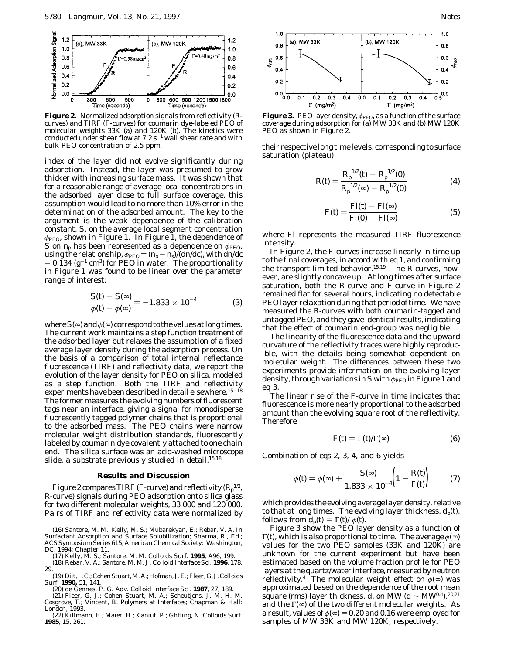

**Figure 2.** Normalized adsorption signals from reflectivity (Rcurves) and TIRF (F-curves) for coumarin dye-labeled PEO of molecular weights 33K (a) and 120K (b). The kinetics were conducted under shear flow at  $7.2 s^{-1}$  wall shear rate and with bulk PEO concentration of 2.5 ppm.

index of the layer did not evolve significantly during adsorption. Instead, the layer was presumed to grow thicker with increasing surface mass. It was shown that for a reasonable range of average local concentrations in the adsorbed layer close to full surface coverage, this assumption would lead to no more than 10% error in the determination of the adsorbed amount. The key to the argument is the weak dependence of the calibration constant, *S*, on the average local segment concentration  $φ<sub>PEO</sub>$ , shown in Figure 1. In Figure 1, the dependence of *S* on  $n_p$  has been represented as a dependence on  $\phi_{\text{PEO}}$ , using the relationship,  $\phi_{\text{PEO}} = (n_{\text{p}} - n_{\text{s}})/(dn/dc)$ , with  $dn/dc$  $= 0.134$  (g<sup>-1</sup> cm<sup>3</sup>) for PEO in water. The proportionality in Figure 1 was found to be linear over the parameter range of interest:

$$
\frac{S(t) - S(\infty)}{\phi(t) - \phi(\infty)} = -1.833 \times 10^{-4}
$$
 (3)

where  $S(\infty)$  and  $\phi(\infty)$  correspond to the values at long times. The current work maintains a step function treatment of the adsorbed layer but relaxes the assumption of a fixed average layer density during the adsorption process. On the basis of a comparison of total internal reflectance fluorescence (TIRF) and reflectivity data, we report the evolution of the layer density for PEO on silica, modeled as a step function. Both the TIRF and reflectivity experiments have been described in detail elsewhere.<sup>15-18</sup> The former measures the evolving numbers of fluorescent tags near an interface, giving a signal for monodisperse fluorescently tagged polymer chains that is proportional to the adsorbed mass. The PEO chains were narrow molecular weight distribution standards, fluorescently labeled by coumarin dye covalently attached to one chain end. The silica surface was an acid-washed microscope slide, a substrate previously studied in detail.<sup>15,18</sup>

### **Results and Discussion**

Figure 2 compares TIRF (F-curve) and reflectivity  $(R_p^{1/2},$ R-curve) signals during PEO adsorption onto silica glass for two different molecular weights, 33 000 and 120 000. Pairs of TIRF and reflectivity data were normalized by

(19) Dijt, J. C.; Cohen Stuart,M. A.; Hofman, J. E.; Fleer, G. J.*Colloids Surf.* **1990,** *51*, 141.

(20) de Gennes, P. G. *Adv. Colloid Interface Sci.* **1987**, *27*, 189. (21) Fleer, G. J.; Cohen Stuart, M. A.; Scheutjens, J. M. H. M.

Cosgrove, T.; Vincent, B. *Polymers at Interfaces*; Chapman & Hall: London, 1993.

(22) Killmann, E.; Maier, H.; Kaniut, P.; Ghtling, N. *Colloids Surf.* **1985**, *15*, 261.



**Figure 3.** PEO layer density,  $φ_{\text{PEO}}$ , as a function of the surface coverage during adsorption for (a) MW 33K and (b) MW 120K PEO as shown in Figure 2.

their respective long time levels, corresponding to surface saturation (plateau)

$$
R(t) = \frac{R_{\rm p}^{1/2}(t) - R_{\rm p}^{1/2}(0)}{R_{\rm p}^{1/2}(\infty) - R_{\rm p}^{1/2}(0)}
$$
(4)

$$
F(t) = \frac{\text{Fl}(t) - \text{Fl}(\infty)}{\text{Fl}(0) - \text{Fl}(\infty)}\tag{5}
$$

where Fl represents the measured TIRF fluorescence intensity.

In Figure 2, the F-curves increase linearly in time up to the final coverages, in accord with eq 1, and confirming the transport-limited behavior.15,19 The R-curves, however, are slightly concave up. At long times after surface saturation, both the R-curve and F-curve in Figure 2 remained flat for several hours, indicating no detectable PEO layer relaxation during that period of time. We have measured the R-curves with both coumarin-tagged and untagged PEO, and they gave identical results, indicating that the effect of coumarin end-group was negligible.

The linearity of the fluorescence data and the upward curvature of the reflectivity traces were highly reproducible, with the details being somewhat dependent on molecular weight. The differences between these two experiments provide information on the evolving layer density, through variations in *S* with  $φ_{\text{PEO}}$  in Figure 1 and eq 3.

The linear rise of the F-curve in time indicates that fluorescence is more nearly proportional to the adsorbed amount than the evolving square root of the reflectivity. Therefore

$$
F(t) = \Gamma(t)/\Gamma(\infty) \tag{6}
$$

Combination of eqs 2, 3, 4, and 6 yields

$$
\phi(t) = \phi(\infty) + \frac{S(\infty)}{1.833 \times 10^{-4}} \left(1 - \frac{R(t)}{F(t)}\right) \tag{7}
$$

which provides the evolving average layer density, relative to that at long times. The evolving layer thickness,  $d_p(t)$ , follows from  $d_p(t) = \Gamma(t)/\phi(t)$ .

Figure 3 show the PEO layer density as a function of Γ(*t*), which is also proportional to time. The average *φ*(∞) values for the two PEO samples (33K and 120K) are unknown for the current experiment but have been estimated based on the volume fraction profile for PEO layers at the quartz/water interface, measured by neutron reflectivity.<sup>4</sup> The molecular weight effect on  $\phi(\infty)$  was approximated based on the dependence of the root mean square (rms) layer thickness, *d*, on MW (*d* ∼ MW<sup>0.4</sup>),<sup>20,21</sup> and the  $\Gamma(\infty)$  of the two different molecular weights. As a result, values of  $\phi(\infty) = 0.20$  and 0.16 were employed for samples of MW 33K and MW 120K, respectively.

<sup>(16)</sup> Santore, M. M.; Kelly, M. S.; Mubarekyan, E.; Rebar, V. A*.* In *Surfactant Adsorption and Surface Solubilization*; Sharma, R., Ed.; ACS Symposium Series 615; American Chemical Society: Washington, DC, 1994; Chapter 11.

<sup>(17)</sup> Kelly, M. S.; Santore, M. M. *Colloids Surf.* **1995**, *A96*, 199. (18) Rebar, V. A.; Santore, M. M. *J. Colloid Interface Sci*. **1996**, *178*,

<sup>29.</sup>